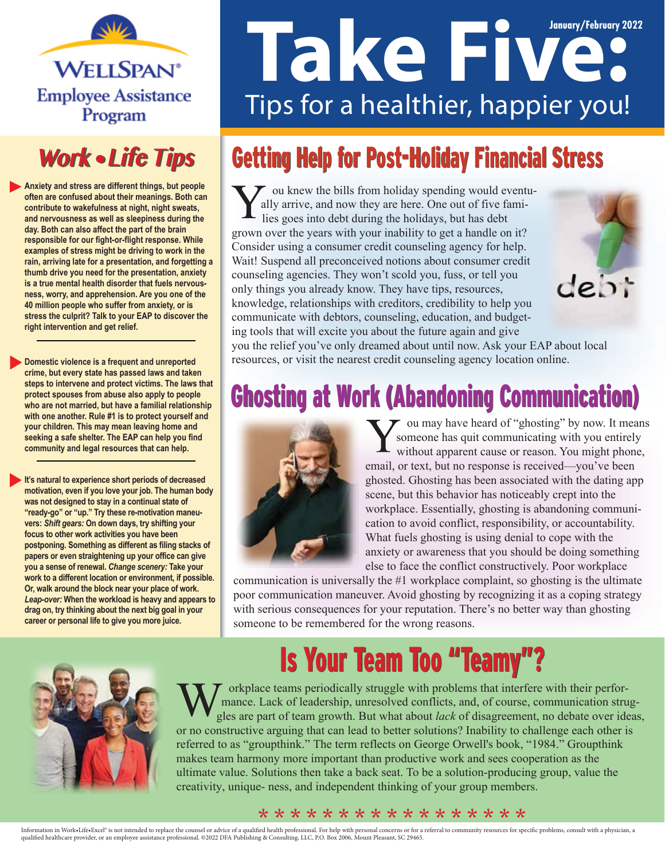

### **Work • Life Tips**

**Anxiety and stress are different things, but people often are confused about their meanings. Both can contribute to wakefulness at night, night sweats, and nervousness as well as sleepiness during the day. Both can also affect the part of the brain responsible for our fight-or-flight response. While examples of stress might be driving to work in the rain, arriving late for a presentation, and forgetting a thumb drive you need for the presentation, anxiety is a true mental health disorder that fuels nervousness, worry, and apprehension. Are you one of the 40 million people who suffer from anxiety, or is stress the culprit? Talk to your EAP to discover the right intervention and get relief.**

**Domestic violence is a frequent and unreported crime, but every state has passed laws and taken steps to intervene and protect victims. The laws that protect spouses from abuse also apply to people who are not married, but have a familial relationship with one another. Rule #1 is to protect yourself and your children. This may mean leaving home and seeking a safe shelter. The EAP can help you find community and legal resources that can help.**

**It's natural to experience short periods of decreased motivation, even if you love your job. The human body was not designed to stay in a continual state of "ready-go" or "up." Try these re-motivation maneuvers:** *Shift gears:* **On down days, try shifting your focus to other work activities you have been postponing. Something as different as filing stacks of papers or even straightening up your office can give you a sense of renewal.** *Change scenery:* **Take your work to a different location or environment, if possible. Or, walk around the block near your place of work.**  *Leap-over:* **When the workload is heavy and appears to drag on, try thinking about the next big goal in your career or personal life to give you more juice.**

# **January/February 2022** Tips for a healthier, happier you!

## Getting Help for Post-Holiday Financial Stress

ou knew the bills from holiday spending would eventually arrive, and now they are here. One out of five families goes into debt during the holidays, but has debt grown over the years with your inability to get a handle on it? Consider using a consumer credit counseling agency for help. Wait! Suspend all preconceived notions about consumer credit counseling agencies. They won't scold you, fuss, or tell you  $debt$ only things you already know. They have tips, resources, knowledge, relationships with creditors, credibility to help you communicate with debtors, counseling, education, and budgeting tools that will excite you about the future again and give you the relief you've only dreamed about until now. Ask your EAP about local resources, or visit the nearest credit counseling agency location online.





ou may have heard of "ghosting" by now. It means someone has quit communicating with you entirely without apparent cause or reason. You might phone, email, or text, but no response is received—you've been ghosted. Ghosting has been associated with the dating app scene, but this behavior has noticeably crept into the workplace. Essentially, ghosting is abandoning communication to avoid conflict, responsibility, or accountability. What fuels ghosting is using denial to cope with the anxiety or awareness that you should be doing something else to face the conflict constructively. Poor workplace

communication is universally the #1 workplace complaint, so ghosting is the ultimate poor communication maneuver. Avoid ghosting by recognizing it as a coping strategy with serious consequences for your reputation. There's no better way than ghosting someone to be remembered for the wrong reasons.

### Is Your Team Too "Teamy"?



orkplace teams periodically struggle with problems that interfere with their performance. Lack of leadership, unresolved conflicts, and, of course, communication struggles are part of team growth. But what about *lack* of disagreement, no debate over ideas, or no constructive arguing that can lead to better solutions? Inability to challenge each other is referred to as "groupthink." The term reflects on George Orwell's book, "1984." Groupthink makes team harmony more important than productive work and sees cooperation as the ultimate value. Solutions then take a back seat. To be a solution-producing group, value the creativity, unique- ness, and independent thinking of your group members.

#### \* \* \* \* \* \* \* \* \* \* \* \* \* \* \* \* \*